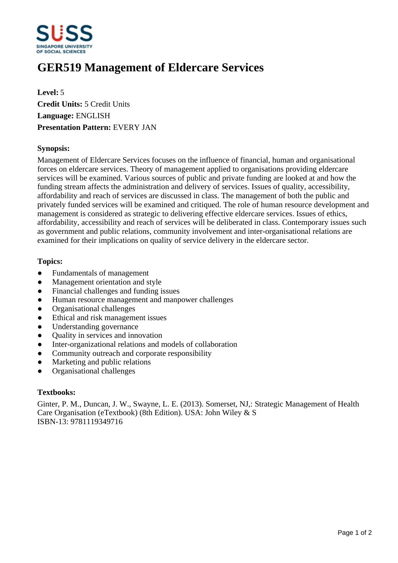

# **GER519 Management of Eldercare Services**

**Level:** 5 **Credit Units:** 5 Credit Units **Language:** ENGLISH **Presentation Pattern:** EVERY JAN

#### **Synopsis:**

Management of Eldercare Services focuses on the influence of financial, human and organisational forces on eldercare services. Theory of management applied to organisations providing eldercare services will be examined. Various sources of public and private funding are looked at and how the funding stream affects the administration and delivery of services. Issues of quality, accessibility, affordability and reach of services are discussed in class. The management of both the public and privately funded services will be examined and critiqued. The role of human resource development and management is considered as strategic to delivering effective eldercare services. Issues of ethics, affordability, accessibility and reach of services will be deliberated in class. Contemporary issues such as government and public relations, community involvement and inter-organisational relations are examined for their implications on quality of service delivery in the eldercare sector.

#### **Topics:**

- Fundamentals of management
- Management orientation and style
- Financial challenges and funding issues
- Human resource management and manpower challenges
- ƔOrganisational challenges
- Ethical and risk management issues
- Understanding governance
- Ouality in services and innovation
- Inter-organizational relations and models of collaboration
- Community outreach and corporate responsibility
- Marketing and public relations
- ƔOrganisational challenges

## **Textbooks:**

Ginter, P. M., Duncan, J. W., Swayne, L. E. (2013). Somerset, NJ,: Strategic Management of Health Care Organisation (eTextbook) (8th Edition). USA: John Wiley & S ISBN-13: 9781119349716